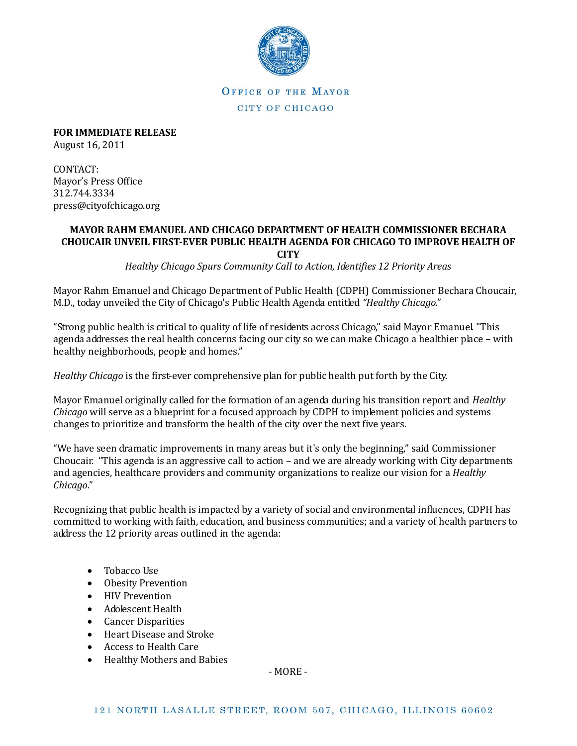

OFFICE OF THE MAYOR CITY OF CHICAGO

**FOR IMMEDIATE RELEASE** August 16, 2011

CONTACT:

Mayor's Press Office 312.744.3334 press@cityofchicago.org

## **MAYOR RAHM EMANUEL AND CHICAGO DEPARTMENT OF HEALTH COMMISSIONER BECHARA CHOUCAIR UNVEIL FIRST-EVER PUBLIC HEALTH AGENDA FOR CHICAGO TO IMPROVE HEALTH OF CITY**

*Healthy Chicago Spurs Community Call to Action, Identifies 12 Priority Areas* 

Mayor Rahm Emanuel and Chicago Department of Public Health (CDPH) Commissioner Bechara Choucair, M.D., today unveiled the City of Chicago's Public Health Agenda entitled *"Healthy Chicago.*"

"Strong public health is critical to quality of life of residents across Chicago," said Mayor Emanuel. "This agenda addresses the real health concerns facing our city so we can make Chicago a healthier place – with healthy neighborhoods, people and homes."

*Healthy Chicago* is the first-ever comprehensive plan for public health put forth by the City.

Mayor Emanuel originally called for the formation of an agenda during his transition report and *Healthy Chicago* will serve as a blueprint for a focused approach by CDPH to implement policies and systems changes to prioritize and transform the health of the city over the next five years.

"We have seen dramatic improvements in many areas but it's only the beginning," said Commissioner Choucair. "This agenda is an aggressive call to action – and we are already working with City departments and agencies, healthcare providers and community organizations to realize our vision for a *Healthy Chicago*."

Recognizing that public health is impacted by a variety of social and environmental influences, CDPH has committed to working with faith, education, and business communities; and a variety of health partners to address the 12 priority areas outlined in the agenda:

- Tobacco Use
- Obesity Prevention
- HIV Prevention
- Adolescent Health
- Cancer Disparities
- Heart Disease and Stroke
- Access to Health Care
- Healthy Mothers and Babies

- MORE -